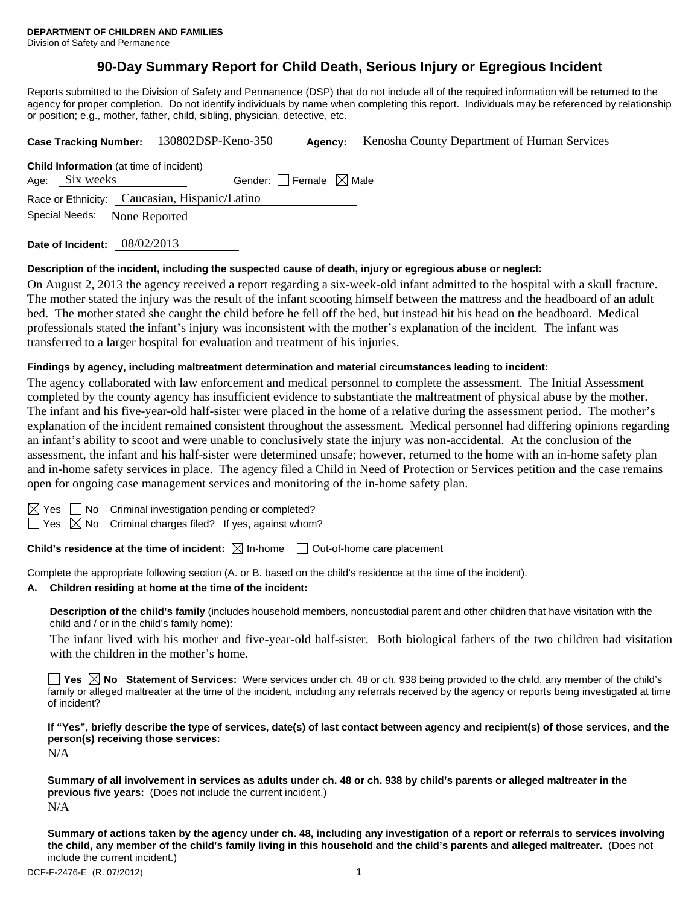# **90-Day Summary Report for Child Death, Serious Injury or Egregious Incident**

Reports submitted to the Division of Safety and Permanence (DSP) that do not include all of the required information will be returned to the agency for proper completion. Do not identify individuals by name when completing this report. Individuals may be referenced by relationship or position; e.g., mother, father, child, sibling, physician, detective, etc.

|                                                                                                         |  | Case Tracking Number: 130802DSP-Keno-350<br>Agency: | Kenosha County Department of Human Services |
|---------------------------------------------------------------------------------------------------------|--|-----------------------------------------------------|---------------------------------------------|
| <b>Child Information</b> (at time of incident)<br>Gender: $ $ Female $\boxtimes$ Male<br>Age: Six weeks |  |                                                     |                                             |
| Race or Ethnicity: Caucasian, Hispanic/Latino                                                           |  |                                                     |                                             |
| Special Needs:<br>None Reported                                                                         |  |                                                     |                                             |
|                                                                                                         |  | $\sim$ $\sim$ $\sim$ $\sim$ $\sim$ $\sim$ $\sim$    |                                             |

**Date of Incident:** 08/02/2013

#### **Description of the incident, including the suspected cause of death, injury or egregious abuse or neglect:**

On August 2, 2013 the agency received a report regarding a six-week-old infant admitted to the hospital with a skull fracture. The mother stated the injury was the result of the infant scooting himself between the mattress and the headboard of an adult bed. The mother stated she caught the child before he fell off the bed, but instead hit his head on the headboard. Medical professionals stated the infant's injury was inconsistent with the mother's explanation of the incident. The infant was transferred to a larger hospital for evaluation and treatment of his injuries.

#### **Findings by agency, including maltreatment determination and material circumstances leading to incident:**

The agency collaborated with law enforcement and medical personnel to complete the assessment. The Initial Assessment completed by the county agency has insufficient evidence to substantiate the maltreatment of physical abuse by the mother. The infant and his five-year-old half-sister were placed in the home of a relative during the assessment period. The mother's explanation of the incident remained consistent throughout the assessment. Medical personnel had differing opinions regarding an infant's ability to scoot and were unable to conclusively state the injury was non-accidental. At the conclusion of the assessment, the infant and his half-sister were determined unsafe; however, returned to the home with an in-home safety plan and in-home safety services in place. The agency filed a Child in Need of Protection or Services petition and the case remains open for ongoing case management services and monitoring of the in-home safety plan.

 $\boxtimes$  Yes  $\Box$  No Criminal investigation pending or completed?

 $\Box$  Yes  $\boxtimes$  No Criminal charges filed? If yes, against whom?

**Child's residence at the time of incident:**  $\boxtimes$  In-home  $\Box$  Out-of-home care placement

Complete the appropriate following section (A. or B. based on the child's residence at the time of the incident).

# **A. Children residing at home at the time of the incident:**

**Description of the child's family** (includes household members, noncustodial parent and other children that have visitation with the child and / or in the child's family home):

 The infant lived with his mother and five-year-old half-sister. Both biological fathers of the two children had visitation with the children in the mother's home.

**Yes No** Statement of Services: Were services under ch. 48 or ch. 938 being provided to the child, any member of the child's family or alleged maltreater at the time of the incident, including any referrals received by the agency or reports being investigated at time of incident?

**If "Yes", briefly describe the type of services, date(s) of last contact between agency and recipient(s) of those services, and the person(s) receiving those services:** 

N/A

**Summary of all involvement in services as adults under ch. 48 or ch. 938 by child's parents or alleged maltreater in the previous five years:** (Does not include the current incident.) N/A

**Summary of actions taken by the agency under ch. 48, including any investigation of a report or referrals to services involving the child, any member of the child's family living in this household and the child's parents and alleged maltreater.** (Does not include the current incident.)